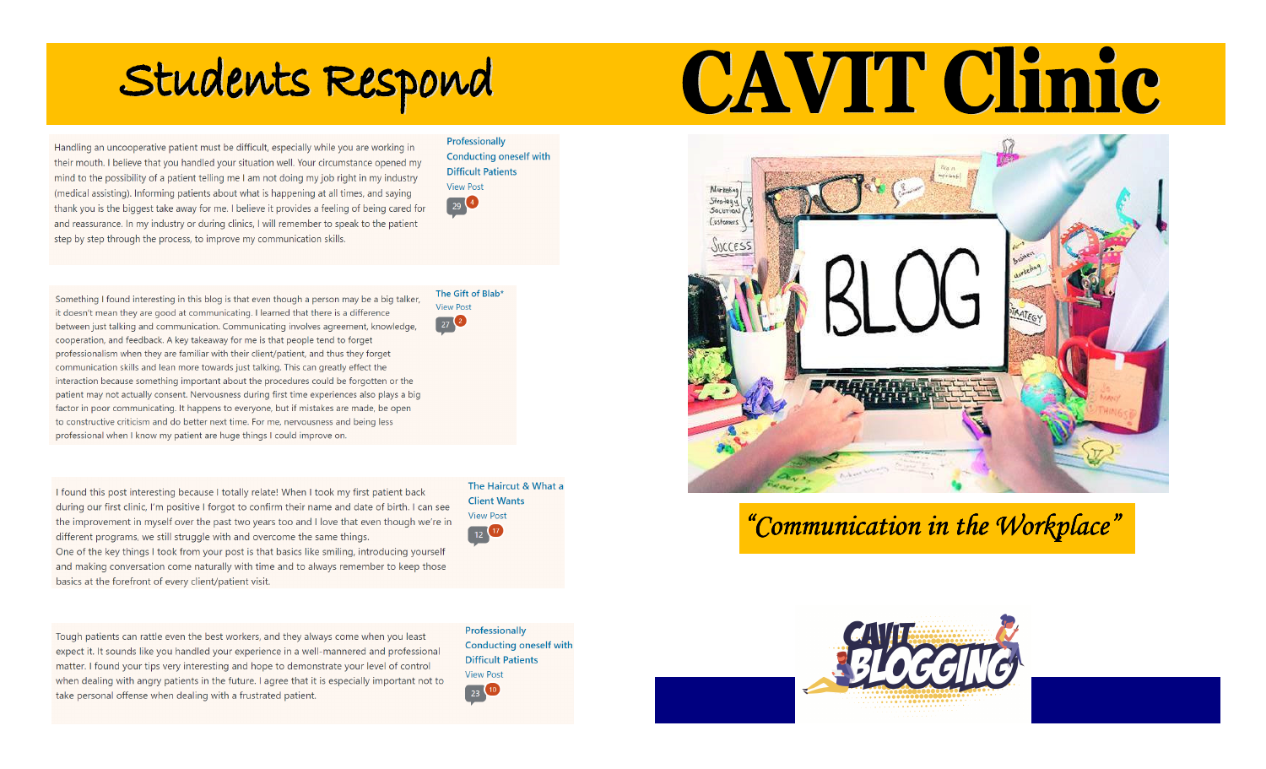## Students Respond

Handling an uncooperative patient must be difficult, especially while you are working in their mouth. I believe that you handled your situation well. Your circumstance opened my mind to the possibility of a patient telling me I am not doing my job right in my industry (medical assisting). Informing patients about what is happening at all times, and saying thank you is the biggest take away for me. I believe it provides a feeling of being cared for and reassurance. In my industry or during clinics, I will remember to speak to the patient step by step through the process, to improve my communication skills.

Professionally **Conducting oneself with Difficult Patients View Post**  $29<sup>4</sup>$ 

The Gift of Blab\*

**View Post** 

 $27<sup>2</sup>$ 

Something I found interesting in this blog is that even though a person may be a big talker, it doesn't mean they are good at communicating. I learned that there is a difference between just talking and communication. Communicating involves agreement, knowledge, cooperation, and feedback. A key takeaway for me is that people tend to forget professionalism when they are familiar with their client/patient, and thus they forget communication skills and lean more towards just talking. This can greatly effect the interaction because something important about the procedures could be forgotten or the patient may not actually consent. Nervousness during first time experiences also plays a big factor in poor communicating. It happens to everyone, but if mistakes are made, be open to constructive criticism and do better next time. For me, nervousness and being less professional when I know my patient are huge things I could improve on.

I found this post interesting because I totally relate! When I took my first patient back during our first clinic, I'm positive I forgot to confirm their name and date of birth. I can see the improvement in myself over the past two years too and I love that even though we're in different programs, we still struggle with and overcome the same things. One of the key things I took from your post is that basics like smiling, introducing yourself and making conversation come naturally with time and to always remember to keep those basics at the forefront of every client/patient visit.

Tough patients can rattle even the best workers, and they always come when you least expect it. It sounds like you handled your experience in a well-mannered and professional matter. I found your tips very interesting and hope to demonstrate your level of control when dealing with angry patients in the future. I agree that it is especially important not to take personal offense when dealing with a frustrated patient.

The Haircut & What a **Client Wants View Post** 12 17

Professionally **Conducting oneself with Difficult Patients View Post** 23 10

# CAVIT Clinic



### "Communication in the Workplace"